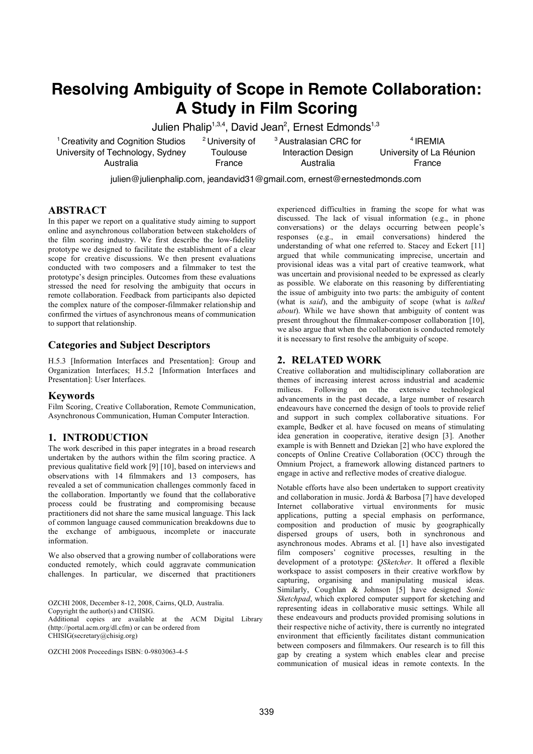# **Resolving Ambiguity of Scope in Remote Collaboration: A Study in Film Scoring**

Julien Phalip<sup>1,3,4</sup>, David Jean<sup>2</sup>, Ernest Edmonds<sup>1,3</sup>

<sup>1</sup> Creativity and Cognition Studios University of Technology, Sydney Australia

<sup>2</sup> University of **Toulouse** France

<sup>3</sup> Australasian CRC for Interaction Design Australia

<sup>4</sup> IREMIA University of La Réunion France

julien@julienphalip.com, jeandavid31@gmail.com, ernest@ernestedmonds.com

# **ABSTRACT**

In this paper we report on a qualitative study aiming to support online and asynchronous collaboration between stakeholders of the film scoring industry. We first describe the low-fidelity prototype we designed to facilitate the establishment of a clear scope for creative discussions. We then present evaluations conducted with two composers and a filmmaker to test the prototype's design principles. Outcomes from these evaluations stressed the need for resolving the ambiguity that occurs in remote collaboration. Feedback from participants also depicted the complex nature of the composer-filmmaker relationship and confirmed the virtues of asynchronous means of communication to support that relationship.

# **Categories and Subject Descriptors**

H.5.3 [Information Interfaces and Presentation]: Group and Organization Interfaces; H.5.2 [Information Interfaces and Presentation]: User Interfaces.

# **Keywords**

Film Scoring, Creative Collaboration, Remote Communication, Asynchronous Communication, Human Computer Interaction.

# **1. INTRODUCTION**

The work described in this paper integrates in a broad research undertaken by the authors within the film scoring practice. A previous qualitative field work [9] [10], based on interviews and observations with 14 filmmakers and 13 composers, has revealed a set of communication challenges commonly faced in the collaboration. Importantly we found that the collaborative process could be frustrating and compromising because practitioners did not share the same musical language. This lack of common language caused communication breakdowns due to the exchange of ambiguous, incomplete or inaccurate information.

We also observed that a growing number of collaborations were conducted remotely, which could aggravate communication challenges. In particular, we discerned that practitioners

OZCHI 2008, December 8-12, 2008, Cairns, QLD, Australia. Copyright the author(s) and CHISIG. Additional copies are available at the ACM Digital Library (http://portal.acm.org/dl.cfm) or can be ordered from CHISIG(secretary@chisig.org)

OZCHI 2008 Proceedings ISBN: 0-9803063-4-5

experienced difficulties in framing the scope for what was discussed. The lack of visual information (e.g., in phone conversations) or the delays occurring between people's responses (e.g., in email conversations) hindered the understanding of what one referred to. Stacey and Eckert [11] argued that while communicating imprecise, uncertain and provisional ideas was a vital part of creative teamwork, what was uncertain and provisional needed to be expressed as clearly as possible. We elaborate on this reasoning by differentiating the issue of ambiguity into two parts: the ambiguity of content (what is *said*), and the ambiguity of scope (what is *talked about*). While we have shown that ambiguity of content was present throughout the filmmaker-composer collaboration [10], we also argue that when the collaboration is conducted remotely it is necessary to first resolve the ambiguity of scope.

# **2. RELATED WORK**

Creative collaboration and multidisciplinary collaboration are themes of increasing interest across industrial and academic milieus. Following on the extensive technological advancements in the past decade, a large number of research endeavours have concerned the design of tools to provide relief and support in such complex collaborative situations. For example, Bødker et al. have focused on means of stimulating idea generation in cooperative, iterative design [3]. Another example is with Bennett and Dziekan [2] who have explored the concepts of Online Creative Collaboration (OCC) through the Omnium Project, a framework allowing distanced partners to engage in active and reflective modes of creative dialogue.

Notable efforts have also been undertaken to support creativity and collaboration in music. Jordà & Barbosa [7] have developed Internet collaborative virtual environments for music applications, putting a special emphasis on performance, composition and production of music by geographically dispersed groups of users, both in synchronous and asynchronous modes. Abrams et al. [1] have also investigated film composers' cognitive processes, resulting in the development of a prototype: *QSketcher*. It offered a flexible workspace to assist composers in their creative workflow by capturing, organising and manipulating musical ideas. Similarly, Coughlan & Johnson [5] have designed *Sonic Sketchpad*, which explored computer support for sketching and representing ideas in collaborative music settings. While all these endeavours and products provided promising solutions in their respective niche of activity, there is currently no integrated environment that efficiently facilitates distant communication between composers and filmmakers. Our research is to fill this gap by creating a system which enables clear and precise communication of musical ideas in remote contexts. In the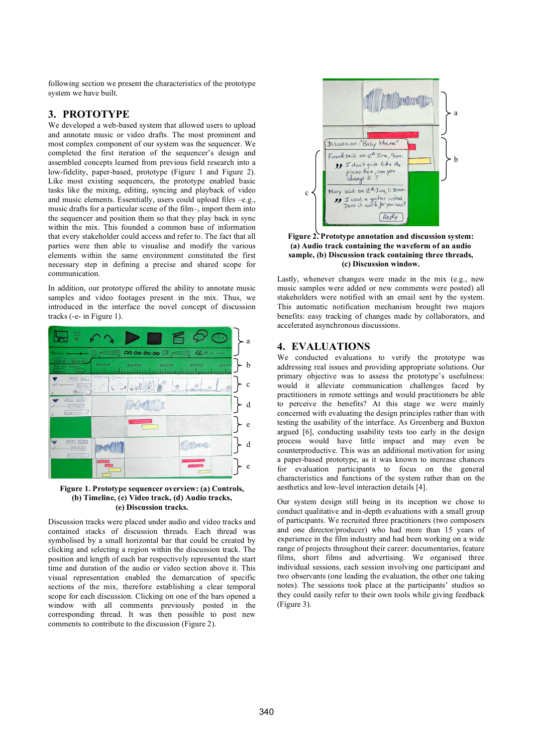following section we present the characteristics of the prototype system we have built.

#### **3. PROTOTYPE**

We developed a web-based system that allowed users to upload and annotate music or video drafts. The most prominent and most complex component of our system was the sequencer. We completed the first iteration of the sequencer's design and assembled concepts learned from previous field research into a low-fidelity, paper-based, prototype (Figure 1 and Figure 2). Like most existing sequencers, the prototype enabled basic tasks like the mixing, editing, syncing and playback of video and music elements. Essentially, users could upload files –e.g., music drafts for a particular scene of the film–, import them into the sequencer and position them so that they play back in sync within the mix. This founded a common base of information that every stakeholder could access and refer to. The fact that all parties were then able to visualise and modify the various elements within the same environment constituted the first necessary step in defining a precise and shared scope for communication.

In addition, our prototype offered the ability to annotate music samples and video footages present in the mix. Thus, we introduced in the interface the novel concept of discussion tracks (-e- in Figure 1).



#### **Figure 1. Prototype sequencer overview: (a) Controls, (b) Timeline, (c) Video track, (d) Audio tracks, (e) Discussion tracks.**

Discussion tracks were placed under audio and video tracks and contained stacks of discussion threads. Each thread was symbolised by a small horizontal bar that could be created by clicking and selecting a region within the discussion track. The position and length of each bar respectively represented the start time and duration of the audio or video section above it. This visual representation enabled the demarcation of specific sections of the mix, therefore establishing a clear temporal scope for each discussion. Clicking on one of the bars opened a window with all comments previously posted in the corresponding thread. It was then possible to post new comments to contribute to the discussion (Figure 2).



**Figure 2. Prototype annotation and discussion system: (a) Audio track containing the waveform of an audio sample, (b) Discussion track containing three threads, (c) Discussion window.**

Lastly, whenever changes were made in the mix (e.g., new music samples were added or new comments were posted) all stakeholders were notified with an email sent by the system. This automatic notification mechanism brought two majors benefits: easy tracking of changes made by collaborators, and accelerated asynchronous discussions.

# **4. EVALUATIONS**

We conducted evaluations to verify the prototype was addressing real issues and providing appropriate solutions. Our primary objective was to assess the prototype's usefulness: would it alleviate communication challenges faced by practitioners in remote settings and would practitioners be able to perceive the benefits? At this stage we were mainly concerned with evaluating the design principles rather than with testing the usability of the interface. As Greenberg and Buxton argued [6], conducting usability tests too early in the design process would have little impact and may even be counterproductive. This was an additional motivation for using a paper-based prototype, as it was known to increase chances for evaluation participants to focus on the general characteristics and functions of the system rather than on the aesthetics and low-level interaction details [4].

Our system design still being in its inception we chose to conduct qualitative and in-depth evaluations with a small group of participants. We recruited three practitioners (two composers and one director/producer) who had more than 15 years of experience in the film industry and had been working on a wide range of projects throughout their career: documentaries, feature films, short films and advertising. We organised three individual sessions, each session involving one participant and two observants (one leading the evaluation, the other one taking notes). The sessions took place at the participants' studios so they could easily refer to their own tools while giving feedback (Figure 3).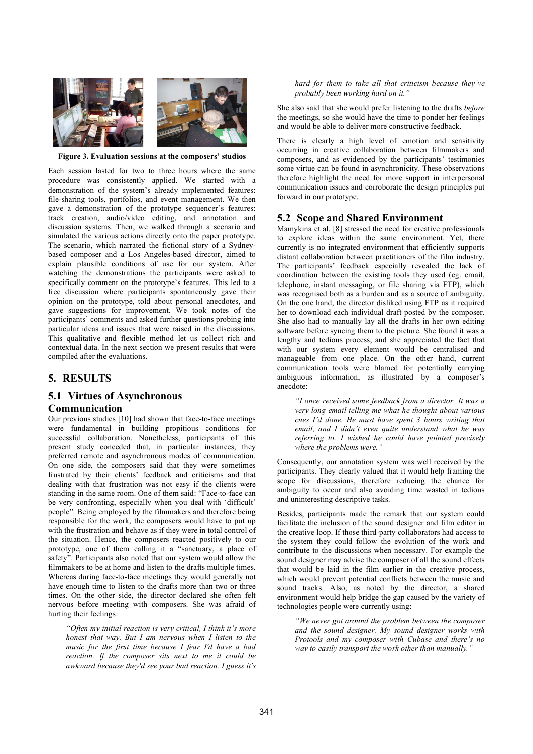

**Figure 3. Evaluation sessions at the composers' studios**

Each session lasted for two to three hours where the same procedure was consistently applied. We started with a demonstration of the system's already implemented features: file-sharing tools, portfolios, and event management. We then gave a demonstration of the prototype sequencer's features: track creation, audio/video editing, and annotation and discussion systems. Then, we walked through a scenario and simulated the various actions directly onto the paper prototype. The scenario, which narrated the fictional story of a Sydneybased composer and a Los Angeles-based director, aimed to explain plausible conditions of use for our system. After watching the demonstrations the participants were asked to specifically comment on the prototype's features. This led to a free discussion where participants spontaneously gave their opinion on the prototype, told about personal anecdotes, and gave suggestions for improvement. We took notes of the participants' comments and asked further questions probing into particular ideas and issues that were raised in the discussions. This qualitative and flexible method let us collect rich and contextual data. In the next section we present results that were compiled after the evaluations.

# **5. RESULTS**

#### **5.1 Virtues of Asynchronous Communication**

Our previous studies [10] had shown that face-to-face meetings were fundamental in building propitious conditions for successful collaboration. Nonetheless, participants of this present study conceded that, in particular instances, they preferred remote and asynchronous modes of communication. On one side, the composers said that they were sometimes frustrated by their clients' feedback and criticisms and that dealing with that frustration was not easy if the clients were standing in the same room. One of them said: "Face-to-face can be very confronting, especially when you deal with 'difficult' people". Being employed by the filmmakers and therefore being responsible for the work, the composers would have to put up with the frustration and behave as if they were in total control of the situation. Hence, the composers reacted positively to our prototype, one of them calling it a "sanctuary, a place of safety". Participants also noted that our system would allow the filmmakers to be at home and listen to the drafts multiple times. Whereas during face-to-face meetings they would generally not have enough time to listen to the drafts more than two or three times. On the other side, the director declared she often felt nervous before meeting with composers. She was afraid of hurting their feelings:

*"Often my initial reaction is very critical, I think it's more honest that way. But I am nervous when I listen to the music for the first time because I fear I'd have a bad reaction. If the composer sits next to me it could be awkward because they'd see your bad reaction. I guess it's* *hard for them to take all that criticism because they've probably been working hard on it."*

She also said that she would prefer listening to the drafts *before* the meetings, so she would have the time to ponder her feelings and would be able to deliver more constructive feedback.

There is clearly a high level of emotion and sensitivity occurring in creative collaboration between filmmakers and composers, and as evidenced by the participants' testimonies some virtue can be found in asynchronicity. These observations therefore highlight the need for more support in interpersonal communication issues and corroborate the design principles put forward in our prototype.

#### **5.2 Scope and Shared Environment**

Mamykina et al. [8] stressed the need for creative professionals to explore ideas within the same environment. Yet, there currently is no integrated environment that efficiently supports distant collaboration between practitioners of the film industry. The participants' feedback especially revealed the lack of coordination between the existing tools they used (eg. email, telephone, instant messaging, or file sharing via FTP), which was recognised both as a burden and as a source of ambiguity. On the one hand, the director disliked using FTP as it required her to download each individual draft posted by the composer. She also had to manually lay all the drafts in her own editing software before syncing them to the picture. She found it was a lengthy and tedious process, and she appreciated the fact that with our system every element would be centralised and manageable from one place. On the other hand, current communication tools were blamed for potentially carrying ambiguous information, as illustrated by a composer's anecdote:

*"I once received some feedback from a director. It was a very long email telling me what he thought about various cues I'd done. He must have spent 3 hours writing that email, and I didn't even quite understand what he was referring to. I wished he could have pointed precisely where the problems were."*

Consequently, our annotation system was well received by the participants. They clearly valued that it would help framing the scope for discussions, therefore reducing the chance for ambiguity to occur and also avoiding time wasted in tedious and uninteresting descriptive tasks.

Besides, participants made the remark that our system could facilitate the inclusion of the sound designer and film editor in the creative loop. If those third-party collaborators had access to the system they could follow the evolution of the work and contribute to the discussions when necessary. For example the sound designer may advise the composer of all the sound effects that would be laid in the film earlier in the creative process, which would prevent potential conflicts between the music and sound tracks. Also, as noted by the director, a shared environment would help bridge the gap caused by the variety of technologies people were currently using:

*"We never got around the problem between the composer and the sound designer. My sound designer works with Protools and my composer with Cubase and there's no way to easily transport the work other than manually."*